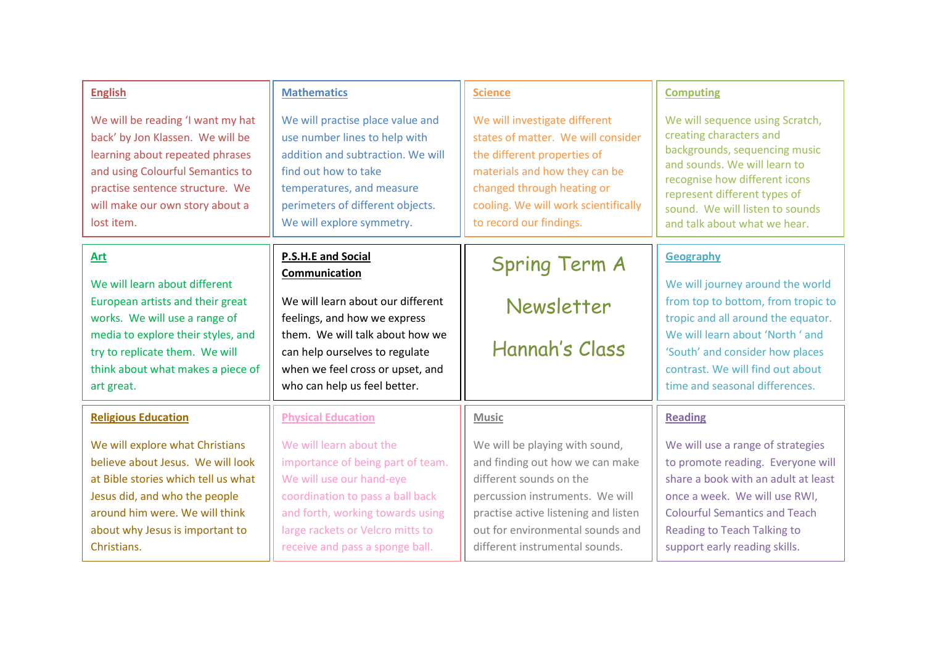| <b>English</b>                                                                                                                                                                                                                   | <b>Mathematics</b>                                                                                                                                                                                                                      | <b>Science</b>                                                                                                                                                                                                                                | <b>Computing</b>                                                                                                                                                                                                                                                |
|----------------------------------------------------------------------------------------------------------------------------------------------------------------------------------------------------------------------------------|-----------------------------------------------------------------------------------------------------------------------------------------------------------------------------------------------------------------------------------------|-----------------------------------------------------------------------------------------------------------------------------------------------------------------------------------------------------------------------------------------------|-----------------------------------------------------------------------------------------------------------------------------------------------------------------------------------------------------------------------------------------------------------------|
| We will be reading 'I want my hat<br>back' by Jon Klassen. We will be<br>learning about repeated phrases<br>and using Colourful Semantics to<br>practise sentence structure. We<br>will make our own story about a<br>lost item. | We will practise place value and<br>use number lines to help with<br>addition and subtraction. We will<br>find out how to take<br>temperatures, and measure<br>perimeters of different objects.<br>We will explore symmetry.            | We will investigate different<br>states of matter. We will consider<br>the different properties of<br>materials and how they can be<br>changed through heating or<br>cooling. We will work scientifically<br>to record our findings.          | We will sequence using Scratch,<br>creating characters and<br>backgrounds, sequencing music<br>and sounds. We will learn to<br>recognise how different icons<br>represent different types of<br>sound. We will listen to sounds<br>and talk about what we hear. |
| Art                                                                                                                                                                                                                              | <b>P.S.H.E and Social</b>                                                                                                                                                                                                               | <b>Spring Term A</b>                                                                                                                                                                                                                          | <b>Geography</b>                                                                                                                                                                                                                                                |
| We will learn about different<br>European artists and their great<br>works. We will use a range of<br>media to explore their styles, and<br>try to replicate them. We will<br>think about what makes a piece of<br>art great.    | Communication<br>We will learn about our different<br>feelings, and how we express<br>them. We will talk about how we<br>can help ourselves to regulate<br>when we feel cross or upset, and<br>who can help us feel better.             | Newsletter<br>Hannah's Class                                                                                                                                                                                                                  | We will journey around the world<br>from top to bottom, from tropic to<br>tropic and all around the equator.<br>We will learn about 'North' and<br>'South' and consider how places<br>contrast. We will find out about<br>time and seasonal differences.        |
| <b>Religious Education</b>                                                                                                                                                                                                       | <b>Physical Education</b>                                                                                                                                                                                                               | <b>Music</b>                                                                                                                                                                                                                                  | <b>Reading</b>                                                                                                                                                                                                                                                  |
| We will explore what Christians<br>believe about Jesus. We will look<br>at Bible stories which tell us what<br>Jesus did, and who the people<br>around him were. We will think<br>about why Jesus is important to<br>Christians. | We will learn about the<br>importance of being part of team.<br>We will use our hand-eye<br>coordination to pass a ball back<br>and forth, working towards using<br>large rackets or Velcro mitts to<br>receive and pass a sponge ball. | We will be playing with sound,<br>and finding out how we can make<br>different sounds on the<br>percussion instruments. We will<br>practise active listening and listen<br>out for environmental sounds and<br>different instrumental sounds. | We will use a range of strategies<br>to promote reading. Everyone will<br>share a book with an adult at least<br>once a week. We will use RWI,<br><b>Colourful Semantics and Teach</b><br><b>Reading to Teach Talking to</b><br>support early reading skills.   |